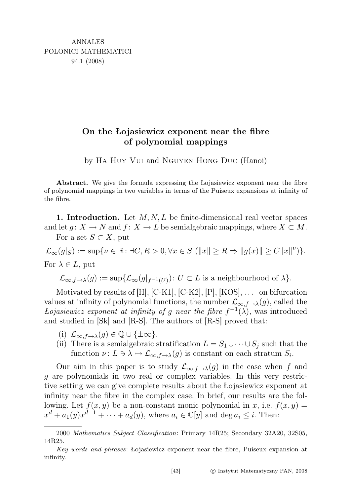## On the Łojasiewicz exponent near the fibre of polynomial mappings

by Ha Huy Vui and Nguyen Hong Duc (Hanoi)

Abstract. We give the formula expressing the Łojasiewicz exponent near the fibre of polynomial mappings in two variables in terms of the Puiseux expansions at infinity of the fibre.

1. Introduction. Let  $M, N, L$  be finite-dimensional real vector spaces and let  $g: X \to N$  and  $f: X \to L$  be semialgebraic mappings, where  $X \subset M$ . For a set  $S \subset X$ , put

 $\mathcal{L}_{\infty}(g|_{S}) := \sup \{ \nu \in \mathbb{R} \colon \exists C, R > 0, \forall x \in S \ (\Vert x \Vert \geq R \Rightarrow \Vert g(x) \Vert \geq C \Vert x \Vert^{\nu}) \}.$ For  $\lambda \in L$ , put

$$
\mathcal{L}_{\infty,f\to\lambda}(g):=\sup\{\mathcal{L}_{\infty}(g|_{f^{-1}(U)}): U\subset L \text{ is a neighbourhood of }\lambda\}.
$$

Motivated by results of  $[H], [C-K1], [C-K2], [P], [KOS], \ldots$  on bifurcation values at infinity of polynomial functions, the number  $\mathcal{L}_{\infty,f\rightarrow\lambda}(g)$ , called the Lojasiewicz exponent at infinity of g near the fibre  $f^{-1}(\lambda)$ , was introduced and studied in [Sk] and [R-S]. The authors of [R-S] proved that:

- (i)  $\mathcal{L}_{\infty,f\to\lambda}(g) \in \mathbb{Q} \cup \{\pm \infty\}.$
- (ii) There is a semialgebraic stratification  $L = S_1 \cup \cdots \cup S_j$  such that the function  $\nu: L \ni \lambda \mapsto \mathcal{L}_{\infty,f\to\lambda}(g)$  is constant on each stratum  $S_i$ .

Our aim in this paper is to study  $\mathcal{L}_{\infty,f\to\lambda}(g)$  in the case when f and g are polynomials in two real or complex variables. In this very restrictive setting we can give complete results about the Łojasiewicz exponent at infinity near the fibre in the complex case. In brief, our results are the following. Let  $f(x, y)$  be a non-constant monic polynomial in x, i.e.  $f(x, y) =$  $x^d + a_1(y)x^{d-1} + \cdots + a_d(y)$ , where  $a_i \in \mathbb{C}[y]$  and  $\deg a_i \leq i$ . Then:

<sup>2000</sup> Mathematics Subject Classification: Primary 14R25; Secondary 32A20, 32S05, 14R25.

Key words and phrases: Łojasiewicz exponent near the fibre, Puiseux expansion at infinity.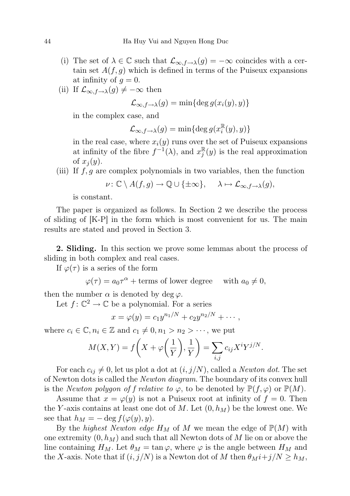- (i) The set of  $\lambda \in \mathbb{C}$  such that  $\mathcal{L}_{\infty,f\to\lambda}(g) = -\infty$  coincides with a certain set  $A(f, g)$  which is defined in terms of the Puiseux expansions at infinity of  $g = 0$ .
- (ii) If  $\mathcal{L}_{\infty, f \to \lambda}(g) \neq -\infty$  then

$$
\mathcal{L}_{\infty,f\to\lambda}(g) = \min\{\deg g(x_i(y),y)\}\
$$

in the complex case, and

 $\mathcal{L}_{\infty,f\rightarrow\lambda}(g) = \min\{\deg g(x_i^{\mathbb{R}})$  $\binom{\mathbb{R}}{i}(y),y)$ 

in the real case, where  $x_i(y)$  runs over the set of Puiseux expansions at infinity of the fibre  $f^{-1}(\lambda)$ , and  $x_i^{\mathbb{R}}$  $_j^{\mathbb{R}}(y)$  is the real approximation of  $x_i(y)$ .

(iii) If  $f, g$  are complex polynomials in two variables, then the function

$$
\nu \colon \mathbb{C} \setminus A(f,g) \to \mathbb{Q} \cup \{\pm \infty\}, \quad \lambda \mapsto \mathcal{L}_{\infty,f \to \lambda}(g),
$$

is constant.

The paper is organized as follows. In Section 2 we describe the process of sliding of [K-P] in the form which is most convenient for us. The main results are stated and proved in Section 3.

2. Sliding. In this section we prove some lemmas about the process of sliding in both complex and real cases.

If  $\varphi(\tau)$  is a series of the form

$$
\varphi(\tau) = a_0 \tau^{\alpha} + \text{terms of lower degree} \quad \text{ with } a_0 \neq 0,
$$

then the number  $\alpha$  is denoted by deg  $\varphi$ .

Let  $f: \mathbb{C}^2 \to \mathbb{C}$  be a polynomial. For a series

$$
x = \varphi(y) = c_1 y^{n_1/N} + c_2 y^{n_2/N} + \cdots,
$$

where  $c_i \in \mathbb{C}, n_i \in \mathbb{Z}$  and  $c_1 \neq 0, n_1 > n_2 > \cdots$ , we put

$$
M(X,Y) = f\left(X + \varphi\left(\frac{1}{Y}\right), \frac{1}{Y}\right) = \sum_{i,j} c_{ij} X^i Y^{j/N}.
$$

For each  $c_{ij} \neq 0$ , let us plot a dot at  $(i, j/N)$ , called a *Newton dot*. The set of Newton dots is called the *Newton diagram*. The boundary of its convex hull is the *Newton polygon of f relative to*  $\varphi$ , to be denoted by  $\mathbb{P}(f, \varphi)$  or  $\mathbb{P}(M)$ .

Assume that  $x = \varphi(y)$  is not a Puiseux root at infinity of  $f = 0$ . Then the Y-axis contains at least one dot of M. Let  $(0, h_M)$  be the lowest one. We see that  $h_M = -\deg f(\varphi(y), y)$ .

By the highest Newton edge  $H_M$  of M we mean the edge of  $\mathbb{P}(M)$  with one extremity  $(0, h_M)$  and such that all Newton dots of M lie on or above the line containing  $H_M$ . Let  $\theta_M = \tan \varphi$ , where  $\varphi$  is the angle between  $H_M$  and the X-axis. Note that if  $(i, j/N)$  is a Newton dot of M then  $\theta_M i + j/N \ge h_M$ ,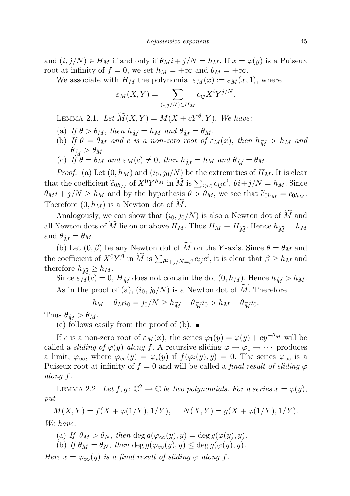and  $(i, j/N) \in H_M$  if and only if  $\theta_M i + j/N = h_M$ . If  $x = \varphi(y)$  is a Puiseux root at infinity of  $f = 0$ , we set  $h_M = +\infty$  and  $\theta_M = +\infty$ .

We associate with  $H_M$  the polynomial  $\varepsilon_M(x) := \varepsilon_M(x, 1)$ , where

$$
\varepsilon_M(X,Y) = \sum_{(i,j/N)\in H_M} c_{ij} X^i Y^{j/N}.
$$

LEMMA 2.1. Let  $\widetilde{M}(X,Y) = M(X + cY^{\theta}, Y)$ . We have:

- (a) If  $\theta > \theta_M$ , then  $h_{\widetilde{M}} = h_M$  and  $\theta_{\widetilde{M}} = \theta_M$ .
- (b) If  $\theta = \theta_M$  and c is a non-zero root of  $\varepsilon_M(x)$ , then  $h_{\widetilde{M}} > h_M$  and  $\theta_{\widetilde{M}} > \theta_M$ .
- (c) If  $\theta = \theta_M$  and  $\varepsilon_M(c) \neq 0$ , then  $h_{\widetilde{M}} = h_M$  and  $\theta_{\widetilde{M}} = \theta_M$ .

*Proof.* (a) Let  $(0, h_M)$  and  $(i_0, j_0/N)$  be the extremities of  $H_M$ . It is clear that the coefficient  $\tilde{c}_{0h_M}$  of  $X^0 Y^{h_M}$  in  $\tilde{M}$  is  $\sum_{i\geq 0} c_{ij}c^i$ ,  $\theta i+j/N = h_M$ . Since  $\theta_M i + j/N \ge h_M$  and by the hypothesis  $\theta > \bar{\theta}_M$ , we see that  $\tilde{c}_{0h_M} = c_{0h_M}$ . Therefore  $(0, h_M)$  is a Newton dot of M.

Analogously, we can show that  $(i_0, j_0/N)$  is also a Newton dot of M and all Newton dots of M lie on or above  $H_M$ . Thus  $H_M \equiv H_{\widetilde{M}}$ . Hence  $h_{\widetilde{M}} = h_M$ and  $\theta_{\widetilde{M}} = \theta_M$ .

(b) Let  $(0, \beta)$  be any Newton dot of  $\widetilde{M}$  on the Y-axis. Since  $\theta = \theta_M$  and the coefficient of  $X^0 Y^{\beta}$  in  $\overline{M}$  is  $\sum_{\theta i+j/N=\beta} c_{ij} c^i$ , it is clear that  $\beta \ge h_M$  and therefore  $h_{\widetilde{M}} \geq h_M$ .

Since  $\varepsilon_M(c) = 0$ ,  $H_{\widetilde{M}}$  does not contain the dot  $(0, h_M)$ . Hence  $h_{\widetilde{M}} > h_M$ . As in the proof of (a),  $(i_0, j_0/N)$  is a Newton dot of M. Therefore

$$
h_M - \theta_M i_0 = j_0/N \ge h_{\widetilde{M}} - \theta_{\widetilde{M}} i_0 > h_M - \theta_{\widetilde{M}} i_0.
$$

Thus  $\theta_{\widetilde{M}} > \theta_M$ .

(c) follows easily from the proof of (b).  $\blacksquare$ 

If c is a non-zero root of  $\varepsilon_M(x)$ , the series  $\varphi_1(y) = \varphi(y) + cy^{-\theta_M}$  will be called a *sliding of*  $\varphi(y)$  along f. A recursive sliding  $\varphi \to \varphi_1 \to \cdots$  produces a limit,  $\varphi_{\infty}$ , where  $\varphi_{\infty}(y) = \varphi_i(y)$  if  $f(\varphi_i(y), y) = 0$ . The series  $\varphi_{\infty}$  is a Puiseux root at infinity of  $f = 0$  and will be called a *final result of sliding*  $\varphi$ along f.

LEMMA 2.2. Let  $f, g: \mathbb{C}^2 \to \mathbb{C}$  be two polynomials. For a series  $x = \varphi(y)$ , put

 $M(X, Y) = f(X + \varphi(1/Y), 1/Y), \quad N(X, Y) = g(X + \varphi(1/Y), 1/Y).$ We have:

- (a) If  $\theta_M > \theta_N$ , then deg  $g(\varphi_\infty(y), y) = \deg g(\varphi(y), y)$ .
- (b) If  $\theta_M = \theta_N$ , then  $\deg g(\varphi_\infty(y), y) \leq \deg g(\varphi(y), y)$ .

Here  $x = \varphi_{\infty}(y)$  is a final result of sliding  $\varphi$  along f.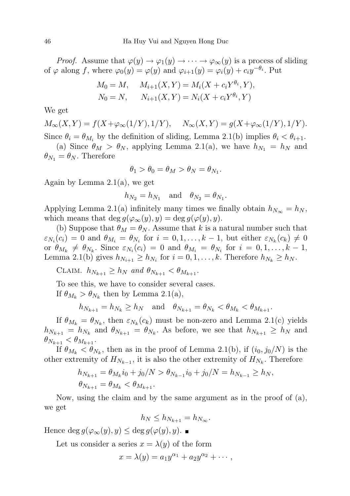*Proof.* Assume that  $\varphi(y) \to \varphi_1(y) \to \cdots \to \varphi_\infty(y)$  is a process of sliding of  $\varphi$  along f, where  $\varphi_0(y) = \varphi(y)$  and  $\varphi_{i+1}(y) = \varphi_i(y) + c_i y^{-\theta_i}$ . Put

$$
M_0 = M, \quad M_{i+1}(X, Y) = M_i(X + c_i Y^{\theta_i}, Y),
$$
  
\n
$$
N_0 = N, \quad N_{i+1}(X, Y) = N_i(X + c_i Y^{\theta_i}, Y)
$$

We get

 $M_{\infty}(X, Y) = f(X + \varphi_{\infty}(1/Y), 1/Y), \quad N_{\infty}(X, Y) = g(X + \varphi_{\infty}(1/Y), 1/Y).$ Since  $\theta_i = \theta_{M_i}$  by the definition of sliding, Lemma 2.1(b) implies  $\theta_i < \theta_{i+1}$ .

(a) Since  $\theta_M > \theta_N$ , applying Lemma 2.1(a), we have  $h_{N_1} = h_N$  and  $\theta_{N_1} = \theta_N$ . Therefore

$$
\theta_1 > \theta_0 = \theta_M > \theta_N = \theta_{N_1}.
$$

Again by Lemma 2.1(a), we get

$$
h_{N_2} = h_{N_1} \quad \text{and} \quad \theta_{N_2} = \theta_{N_1}.
$$

Applying Lemma 2.1(a) infinitely many times we finally obtain  $h_{N_{\infty}} = h_N$ , which means that deg  $g(\varphi_\infty(y), y) = \deg g(\varphi(y), y)$ .

(b) Suppose that  $\theta_M = \theta_N$ . Assume that k is a natural number such that  $\varepsilon_{N_i}(c_i) = 0$  and  $\theta_{M_i} = \theta_{N_i}$  for  $i = 0, 1, \ldots, k-1$ , but either  $\varepsilon_{N_k}(c_k) \neq 0$ or  $\theta_{M_k} \neq \theta_{N_k}$ . Since  $\varepsilon_{N_i}(c_i) = 0$  and  $\theta_{M_i} = \theta_{N_i}$  for  $i = 0, 1, ..., k - 1$ , Lemma 2.1(b) gives  $h_{N_{i+1}} \geq h_{N_i}$  for  $i = 0, 1, ..., k$ . Therefore  $h_{N_k} \geq h_N$ .

CLAIM.  $h_{N_{k+1}} \geq h_N$  and  $\theta_{N_{k+1}} < \theta_{M_{k+1}}$ .

To see this, we have to consider several cases.

If  $\theta_{M_k} > \theta_{N_k}$  then by Lemma 2.1(a),

$$
h_{N_{k+1}} = h_{N_k} \ge h_N \quad \text{and} \quad \theta_{N_{k+1}} = \theta_{N_k} < \theta_{M_k} < \theta_{M_{k+1}}.
$$

If  $\theta_{M_k} = \theta_{N_k}$ , then  $\varepsilon_{N_k}(c_k)$  must be non-zero and Lemma 2.1(c) yields  $h_{N_{k+1}} = h_{N_k}$  and  $\theta_{N_{k+1}} = \theta_{N_k}$ . As before, we see that  $h_{N_{k+1}} \ge h_N$  and  $\theta_{N_{k+1}} < \theta_{M_{k+1}}$ .

If  $\theta_{M_k} < \theta_{N_k}$ , then as in the proof of Lemma 2.1(b), if  $(i_0, j_0/N)$  is the other extremity of  $H_{N_{k-1}}$ , it is also the other extremity of  $H_{N_k}$ . Therefore

$$
h_{N_{k+1}} = \theta_{M_k} i_0 + j_0/N > \theta_{N_{k-1}} i_0 + j_0/N = h_{N_{k-1}} \ge h_N,
$$
  

$$
\theta_{N_{k+1}} = \theta_{M_k} < \theta_{M_{k+1}}.
$$

Now, using the claim and by the same argument as in the proof of (a), we get

$$
h_N \le h_{N_{k+1}} = h_{N_{\infty}}.
$$

Hence deg  $g(\varphi_\infty(y), y) \leq \deg g(\varphi(y), y)$ .

Let us consider a series  $x = \lambda(y)$  of the form

$$
x = \lambda(y) = a_1 y^{\alpha_1} + a_2 y^{\alpha_2} + \cdots,
$$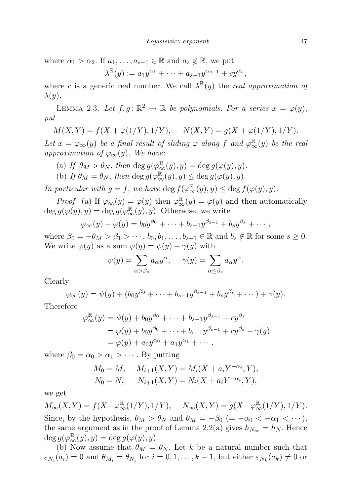where  $\alpha_1 > \alpha_2$ . If  $a_1, \ldots, a_{s-1} \in \mathbb{R}$  and  $a_s \notin \mathbb{R}$ , we put

$$
\lambda^{\mathbb{R}}(y) := a_1 y^{\alpha_1} + \dots + a_{s-1} y^{\alpha_{s-1}} + c y^{\alpha_s}
$$

where c is a generic real number. We call  $\lambda^{\mathbb{R}}(y)$  the *real approximation of*  $\lambda(y)$ .

LEMMA 2.3. Let  $f, g: \mathbb{R}^2 \to \mathbb{R}$  be polynomials. For a series  $x = \varphi(y)$ , put

$$
M(X,Y) = f(X + \varphi(1/Y), 1/Y), \quad N(X,Y) = g(X + \varphi(1/Y), 1/Y).
$$

Let  $x = \varphi_\infty(y)$  be a final result of sliding  $\varphi$  along f and  $\varphi_\infty^{\mathbb{R}}(y)$  be the real approximation of  $\varphi_{\infty}(y)$ . We have:

- (a) If  $\theta_M > \theta_N$ , then  $\deg g(\varphi_\infty^{\mathbb{R}}(y), y) = \deg g(\varphi(y), y)$ .
- (b) If  $\theta_M = \theta_N$ , then  $\deg g(\varphi_\infty^{\mathbb{R}}(y), y) \leq \deg g(\varphi(y), y)$ .

In particular with  $g = f$ , we have  $\deg f(\varphi_{\infty}^{\mathbb{R}}(y), y) \leq \deg f(\varphi(y), y)$ .

*Proof.* (a) If  $\varphi_{\infty}(y) = \varphi(y)$  then  $\varphi_{\infty}^{\mathbb{R}}(y) = \varphi(y)$  and then automatically  $\deg g(\varphi(y), y) = \deg g(\varphi_\infty^{\mathbb{R}}(y), y)$ . Otherwise, we write

$$
\varphi_{\infty}(y) - \varphi(y) = b_0 y^{\beta_0} + \cdots + b_{s-1} y^{\beta_{s-1}} + b_s y^{\beta_s} + \cdots,
$$

where  $\beta_0 = -\theta_M > \beta_1 > \cdots$ ,  $b_0, b_1, \ldots, b_{s-1} \in \mathbb{R}$  and  $b_s \notin \mathbb{R}$  for some  $s \geq 0$ . We write  $\varphi(y)$  as a sum  $\varphi(y) = \psi(y) + \gamma(y)$  with

$$
\psi(y) = \sum_{\alpha > \beta_s} a_{\alpha} y^{\alpha}, \quad \gamma(y) = \sum_{\alpha \le \beta_s} a_{\alpha} y^{\alpha}.
$$

Clearly

$$
\varphi_{\infty}(y) = \psi(y) + (b_0 y^{\beta_0} + \dots + b_{s-1} y^{\beta_{s-1}} + b_s y^{\beta_s} + \dots) + \gamma(y).
$$

Therefore

$$
\varphi_{\infty}^{\mathbb{R}}(y) = \psi(y) + b_0 y^{\beta_0} + \dots + b_{s-1} y^{\beta_{s-1}} + c y^{\beta_s}
$$
  
=  $\varphi(y) + b_0 y^{\beta_0} + \dots + b_{s-1} y^{\beta_{s-1}} + c y^{\beta_s} - \gamma(y)$   
=  $\varphi(y) + a_0 y^{\alpha_0} + a_1 y^{\alpha_1} + \dots$ ,

where  $\beta_0 = \alpha_0 > \alpha_1 > \cdots$ . By putting

$$
M_0 = M, \quad M_{i+1}(X, Y) = M_i(X + a_i Y^{-\alpha_i}, Y),
$$
  
\n
$$
N_0 = N, \quad N_{i+1}(X, Y) = N_i(X + a_i Y^{-\alpha_i}, Y),
$$

we get

 $M_{\infty}(X,Y) = f(X + \varphi_{\infty}^{\mathbb{R}}(1/Y), 1/Y), \quad N_{\infty}(X,Y) = g(X + \varphi_{\infty}^{\mathbb{R}}(1/Y), 1/Y).$ Since, by the hypothesis,  $\theta_M > \theta_N$  and  $\theta_M = -\beta_0$  (=  $-\alpha_0 < -\alpha_1 < \cdots$ ), the same argument as in the proof of Lemma 2.2(a) gives  $h_{N_{\infty}} = h_N$ . Hence  $\deg g(\varphi_\infty^\mathbb{R}(y),y) = \deg g(\varphi(y),y).$ 

(b) Now assume that  $\theta_M = \theta_N$ . Let k be a natural number such that  $\varepsilon_{N_i}(a_i) = 0$  and  $\theta_{M_i} = \theta_{N_i}$  for  $i = 0, 1, \dots, k-1$ , but either  $\varepsilon_{N_k}(a_k) \neq 0$  or

,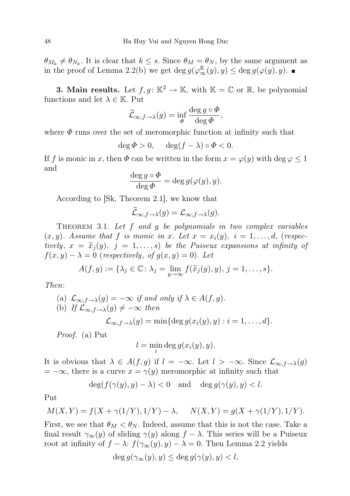$\theta_{M_k} \neq \theta_{N_k}$ . It is clear that  $k \leq s$ . Since  $\theta_M = \theta_N$ , by the same argument as in the proof of Lemma 2.2(b) we get  $\deg g(\varphi^{\mathbb{R}}_{\infty}(y), y) \leq \deg g(\varphi(y), y)$ .

**3. Main results.** Let  $f, g: \mathbb{K}^2 \to \mathbb{K}$ , with  $\mathbb{K} = \mathbb{C}$  or  $\mathbb{R}$ , be polynomial functions and let  $\lambda \in \mathbb{K}$ . Put

$$
\widetilde{\mathcal{L}}_{\infty,f\to\lambda}(g) = \inf_{\Phi} \frac{\deg g \circ \Phi}{\deg \Phi},
$$

where  $\Phi$  runs over the set of meromorphic function at infinity such that

$$
\deg \Phi > 0, \quad \deg(f - \lambda) \circ \Phi < 0.
$$

If f is monic in x, then  $\Phi$  can be written in the form  $x = \varphi(y)$  with deg  $\varphi \leq 1$ and

$$
\frac{\deg g \circ \Phi}{\deg \Phi} = \deg g(\varphi(y), y).
$$

According to [Sk, Theorem 2.1], we know that

$$
\mathcal{L}_{\infty,f\to\lambda}(g) = \mathcal{L}_{\infty,f\to\lambda}(g).
$$

THEOREM 3.1. Let  $f$  and  $g$  be polynomials in two complex variables  $(x, y)$ . Assume that f is monic in x. Let  $x = x_i(y)$ ,  $i = 1, \ldots, d$ , (respectively,  $x = \tilde{x}_i(y)$ ,  $j = 1, \ldots, s$  be the Puiseux expansions at infinity of  $f(x, y) - \lambda = 0$  (respectively, of  $g(x, y) = 0$ ). Let

$$
A(f,g) := \{\lambda_j \in \mathbb{C} \colon \lambda_j = \lim_{y \to \infty} f(\widetilde{x}_j(y), y), j = 1, \dots, s\}.
$$

Then:

(a) 
$$
\mathcal{L}_{\infty,f\to\lambda}(g) = -\infty
$$
 if and only if  $\lambda \in A(f,g)$ .  
\n(b) If  $\mathcal{L}_{\infty,f\to\lambda}(g) \neq -\infty$  then  
\n
$$
\mathcal{L}_{\infty,f\to\lambda}(g) = \min\{\deg g(x_i(y),y) : i = 1,\ldots,d\}.
$$

Proof. (a) Put

$$
l = \min_i \deg g(x_i(y), y).
$$

It is obvious that  $\lambda \in A(f,g)$  if  $l = -\infty$ . Let  $l > -\infty$ . Since  $\mathcal{L}_{\infty,f\to\lambda}(g)$  $= -\infty$ , there is a curve  $x = \gamma(y)$  meromorphic at infinity such that

$$
\deg(f(\gamma(y), y) - \lambda) < 0 \quad \text{and} \quad \deg g(\gamma(y), y) < l.
$$

Put

$$
M(X,Y) = f(X + \gamma(1/Y), 1/Y) - \lambda, \quad N(X,Y) = g(X + \gamma(1/Y), 1/Y).
$$

First, we see that  $\theta_M < \theta_N$ . Indeed, assume that this is not the case. Take a final result  $\gamma_{\infty}(y)$  of sliding  $\gamma(y)$  along  $f - \lambda$ . This series will be a Puiseux root at infinity of  $f - \lambda$ :  $f(\gamma_\infty(y), y) - \lambda = 0$ . Then Lemma 2.2 yields

$$
\deg g(\gamma_{\infty}(y), y) \le \deg g(\gamma(y), y) < l,
$$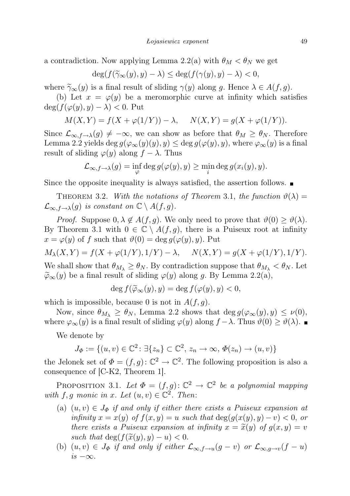a contradiction. Now applying Lemma 2.2(a) with  $\theta_M < \theta_N$  we get

$$
\deg(f(\widetilde{\gamma}_{\infty}(y), y) - \lambda) \le \deg(f(\gamma(y), y) - \lambda) < 0,
$$

where  $\widetilde{\gamma}_{\infty}(y)$  is a final result of sliding  $\gamma(y)$  along g. Hence  $\lambda \in A(f, g)$ .

(b) Let  $x = \varphi(y)$  be a meromorphic curve at infinity which satisfies  $\deg(f(\varphi(y), y) - \lambda) < 0$ . Put

$$
M(X,Y) = f(X + \varphi(1/Y)) - \lambda
$$
,  $N(X,Y) = g(X + \varphi(1/Y)).$ 

Since  $\mathcal{L}_{\infty,f\to\lambda}(g) \neq -\infty$ , we can show as before that  $\theta_M \geq \theta_N$ . Therefore Lemma 2.2 yields deg  $g(\varphi_\infty(y)(y), y) \leq \deg g(\varphi(y), y)$ , where  $\varphi_\infty(y)$  is a final result of sliding  $\varphi(y)$  along  $f - \lambda$ . Thus

$$
\mathcal{L}_{\infty,f\to\lambda}(g)=\inf_{\varphi}\deg g(\varphi(y),y)\geq \min_i\deg g(x_i(y),y).
$$

Since the opposite inequality is always satisfied, the assertion follows.  $\blacksquare$ 

THEOREM 3.2. With the notations of Theorem 3.1, the function  $\vartheta(\lambda) =$  $\mathcal{L}_{\infty,f\to\lambda}(g)$  is constant on  $\mathbb{C}\setminus A(f,g)$ .

*Proof.* Suppose  $0, \lambda \notin A(f, g)$ . We only need to prove that  $\vartheta(0) \geq \vartheta(\lambda)$ . By Theorem 3.1 with  $0 \in \mathbb{C} \setminus A(f,g)$ , there is a Puiseux root at infinity  $x = \varphi(y)$  of f such that  $\vartheta(0) = \deg g(\varphi(y), y)$ . Put

 $M_{\lambda}(X, Y) = f(X + \varphi(1/Y), 1/Y) - \lambda, \quad N(X, Y) = g(X + \varphi(1/Y), 1/Y).$ 

We shall show that  $\theta_{M_{\lambda}} \ge \theta_N$ . By contradiction suppose that  $\theta_{M_{\lambda}} < \theta_N$ . Let  $\widetilde{\varphi}_{\infty}(y)$  be a final result of sliding  $\varphi(y)$  along g. By Lemma 2.2(a),

$$
\deg f(\widetilde{\varphi}_{\infty}(y), y) = \deg f(\varphi(y), y) < 0,
$$

which is impossible, because 0 is not in  $A(f, g)$ .

Now, since  $\theta_{M_{\lambda}} \geq \theta_N$ , Lemma 2.2 shows that  $\deg g(\varphi_{\infty}(y), y) \leq \nu(0)$ , where  $\varphi_{\infty}(y)$  is a final result of sliding  $\varphi(y)$  along  $f - \lambda$ . Thus  $\vartheta(0) \ge \vartheta(\lambda)$ .

We denote by

$$
J_{\Phi} := \{ (u, v) \in \mathbb{C}^2 \colon \exists \{ z_n \} \subset \mathbb{C}^2, \ z_n \to \infty, \ \Phi(z_n) \to (u, v) \}
$$

the Jelonek set of  $\Phi = (f, g): \mathbb{C}^2 \to \mathbb{C}^2$ . The following proposition is also a consequence of [C-K2, Theorem 1].

PROPOSITION 3.1. Let  $\Phi = (f, g): \mathbb{C}^2 \to \mathbb{C}^2$  be a polynomial mapping with f, g monic in x. Let  $(u, v) \in \mathbb{C}^2$ . Then:

- (a)  $(u, v) \in J_{\Phi}$  if and only if either there exists a Puiseux expansion at infinity  $x = x(y)$  of  $f(x, y) = u$  such that  $deg(g(x(y), y) - v) < 0$ , or there exists a Puiseux expansion at infinity  $x = \tilde{x}(y)$  of  $g(x, y) = v$ such that  $\deg(f(\tilde{x}(y), y) - u) < 0$ .
- (b)  $(u, v) \in J_{\Phi}$  if and only if either  $\mathcal{L}_{\infty, f \to u}(g v)$  or  $\mathcal{L}_{\infty, g \to v}(f u)$  $is -\infty$ .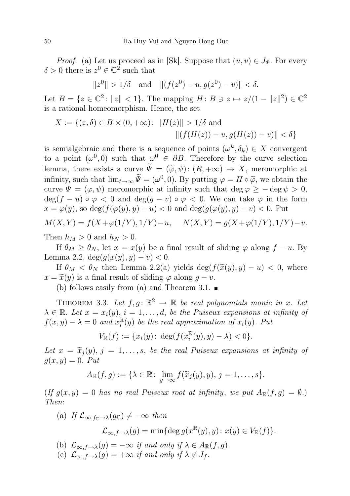*Proof.* (a) Let us proceed as in [Sk]. Suppose that  $(u, v) \in J_{\Phi}$ . For every  $\delta > 0$  there is  $z^0 \in \mathbb{C}^2$  such that

$$
||z^0|| > 1/\delta
$$
 and  $||(f(z^0) - u, g(z^0) - v)|| < \delta$ .

Let  $B = \{z \in \mathbb{C}^2 \colon ||z|| < 1\}$ . The mapping  $H : B \ni z \mapsto z/(1 - ||z||^2) \in \mathbb{C}^2$ is a rational homeomorphism. Hence, the set

$$
X := \{(z, \delta) \in B \times (0, +\infty) : ||H(z)|| > 1/\delta \text{ and } ||(f(H(z)) - u, g(H(z)) - v)|| < \delta \}
$$

is semialgebraic and there is a sequence of points  $(\omega^k, \delta_k) \in X$  convergent to a point  $(\omega^0, 0)$  such that  $\omega^0 \in \partial B$ . Therefore by the curve selection lemma, there exists a curve  $\widetilde{\Psi} = (\widetilde{\varphi}, \psi) : (R, +\infty) \to X$ , meromorphic at infinity, such that  $\lim_{t\to\infty} \Psi = (\omega^0, 0)$ . By putting  $\varphi = H \circ \widetilde{\varphi}$ , we obtain the curve  $\Psi = (\varphi, \psi)$  meromorphic at infinity such that deg  $\varphi \ge -\deg \psi > 0$ ,  $\deg(f - u) \circ \varphi < 0$  and  $\deg(g - v) \circ \varphi < 0$ . We can take  $\varphi$  in the form  $x = \varphi(y)$ , so deg $(f(\varphi(y), y) - u) < 0$  and deg $(g(\varphi(y), y) - v) < 0$ . Put

$$
M(X,Y) = f(X + \varphi(1/Y), 1/Y) - u, \quad N(X,Y) = g(X + \varphi(1/Y), 1/Y) - v.
$$

Then  $h_M > 0$  and  $h_N > 0$ .

If  $\theta_M \ge \theta_N$ , let  $x = x(y)$  be a final result of sliding  $\varphi$  along  $f - u$ . By Lemma 2.2,  $deg(g(x(y), y) - v) < 0.$ 

If  $\theta_M < \theta_N$  then Lemma 2.2(a) yields deg( $f(\tilde{x}(y), y) - u$ ) < 0, where  $x = \tilde{x}(y)$  is a final result of sliding  $\varphi$  along  $g - v$ .

(b) follows easily from (a) and Theorem 3.1.  $\blacksquare$ 

THEOREM 3.3. Let  $f, g: \mathbb{R}^2 \to \mathbb{R}$  be real polynomials monic in x. Let  $\lambda \in \mathbb{R}$ . Let  $x = x_i(y), i = 1, \ldots, d$ , be the Puiseux expansions at infinity of  $f(x,y) - \lambda = 0$  and  $x_i^{\mathbb{R}}$  $i(\theta_i^{\mathbb{R}}(y))$  be the real approximation of  $x_i(y)$ . Put

$$
V_{\mathbb{R}}(f) := \{ x_i(y) \colon \deg(f(x_i^{\mathbb{R}}(y), y) - \lambda) < 0 \}.
$$

Let  $x = \tilde{x}_j(y), j = 1, \ldots, s$ , be the real Puiseux expansions at infinity of  $g(x, y) = 0$ . Put

$$
A_{\mathbb{R}}(f,g):=\{\lambda\in\mathbb{R}\colon \lim_{y\to\infty}f(\widetilde{x}_j(y),y),\,j=1,\ldots,s\}.
$$

(If  $g(x, y) = 0$  has no real Puiseux root at infinity, we put  $A_{\mathbb{R}}(f, g) = \emptyset$ .) Then:

(a) If  $\mathcal{L}_{\infty, f_{\mathbb{C}} \to \lambda}(g_{\mathbb{C}}) \neq -\infty$  then  $\mathcal{L}_{\infty,f\rightarrow\lambda}(g) = \min\{\deg g(x^{\mathbb{R}}(y),y) : x(y) \in V_{\mathbb{R}}(f)\}.$ (b)  $\mathcal{L}_{\infty,f\to\lambda}(g) = -\infty$  if and only if  $\lambda \in A_{\mathbb{R}}(f,g)$ . (c)  $\mathcal{L}_{\infty,f\to\lambda}(g) = +\infty$  if and only if  $\lambda \notin J_f$ .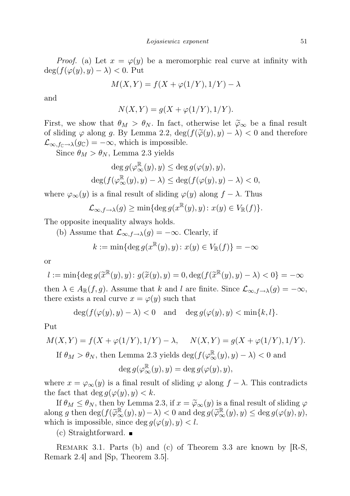*Proof.* (a) Let  $x = \varphi(y)$  be a meromorphic real curve at infinity with  $\deg(f(\varphi(y), y) - \lambda) < 0$ . Put

$$
M(X,Y) = f(X + \varphi(1/Y), 1/Y) - \lambda
$$

and

$$
N(X,Y) = g(X + \varphi(1/Y), 1/Y).
$$

First, we show that  $\theta_M > \theta_N$ . In fact, otherwise let  $\tilde{\varphi}_{\infty}$  be a final result of sliding  $\varphi$  along g. By Lemma 2.2,  $\deg(f(\widetilde{\varphi}(y), y) - \lambda) < 0$  and therefore  $\mathcal{L}_{\infty,f_{\mathbb{C}}\to\lambda}(g_{\mathbb{C}})=-\infty$ , which is impossible.

Since  $\theta_M > \theta_N$ , Lemma 2.3 yields

$$
\deg g(\varphi_{\infty}^{\mathbb{R}}(y), y) \le \deg g(\varphi(y), y),
$$
  

$$
\deg(f(\varphi_{\infty}^{\mathbb{R}}(y), y) - \lambda) \le \deg(f(\varphi(y), y) - \lambda) < 0,
$$

where  $\varphi_{\infty}(y)$  is a final result of sliding  $\varphi(y)$  along  $f - \lambda$ . Thus

$$
\mathcal{L}_{\infty,f\to\lambda}(g)\geq \min\{\deg g(x^{\mathbb{R}}(y),y)\colon x(y)\in V_{\mathbb{R}}(f)\}.
$$

The opposite inequality always holds.

(b) Assume that 
$$
\mathcal{L}_{\infty,f\to\lambda}(g) = -\infty
$$
. Clearly, if

$$
k := \min\{\deg g(x^{\mathbb{R}}(y), y) \colon x(y) \in V_{\mathbb{R}}(f)\} = -\infty
$$

or

$$
l := \min\{\deg g(\widetilde{x}^{\mathbb{R}}(y), y) : g(\widetilde{x}(y), y) = 0, \deg(f(\widetilde{x}^{\mathbb{R}}(y), y) - \lambda) < 0\} = -\infty
$$
\nthen  $\lambda \in A_{\mathbb{R}}(f, g)$ . Assume that  $k$  and  $l$  are finite. Since  $\mathcal{L}_{\infty, f \to \lambda}(g) = -\infty$ , there exists a real curve  $x = \varphi(y)$  such that

$$
\deg(f(\varphi(y), y) - \lambda) < 0 \quad \text{and} \quad \deg g(\varphi(y), y) < \min\{k, l\}.
$$

Put

$$
M(X,Y) = f(X + \varphi(1/Y), 1/Y) - \lambda, \quad N(X,Y) = g(X + \varphi(1/Y), 1/Y).
$$

If  $\theta_M > \theta_N$ , then Lemma 2.3 yields  $\deg(f(\varphi_\infty^{\mathbb{R}}(y), y) - \lambda) < 0$  and

$$
\deg g(\varphi_\infty^{\mathbb{R}}(y), y) = \deg g(\varphi(y), y),
$$

where  $x = \varphi_{\infty}(y)$  is a final result of sliding  $\varphi$  along  $f - \lambda$ . This contradicts the fact that  $\deg g(\varphi(y), y) < k$ .

If  $\theta_M \leq \theta_N$ , then by Lemma 2.3, if  $x = \widetilde{\varphi}_{\infty}(y)$  is a final result of sliding  $\varphi$ along g then deg $(f(\widetilde{\varphi}_{\infty}^{\mathbb{R}}(y), y) - \lambda) < 0$  and deg  $g(\widetilde{\varphi}_{\infty}^{\mathbb{R}}(y), y) \leq \deg g(\varphi(y), y)$ , which is impossible, since deg  $g(\varphi(y), y) < l$ .

 $(c)$  Straightforward.

REMARK 3.1. Parts (b) and (c) of Theorem 3.3 are known by [R-S, Remark 2.4] and [Sp, Theorem 3.5].